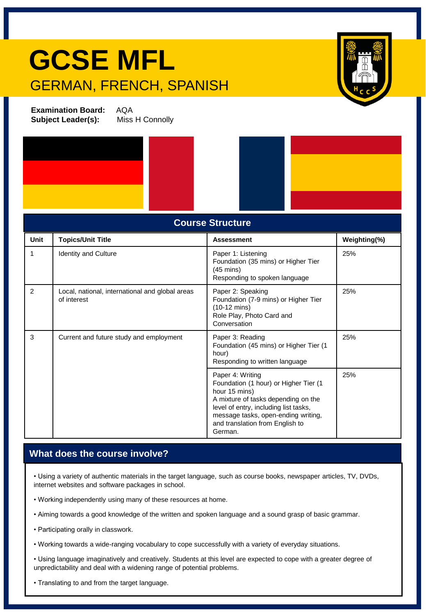## **GCSE MFL** GERMAN, FRENCH, SPANISH



**Examination Board:** AQA **Subject Leader(s):** Miss H Connolly



| <b>Course Structure</b> |                                                                |                                                                                                                                                                                                                                                 |              |
|-------------------------|----------------------------------------------------------------|-------------------------------------------------------------------------------------------------------------------------------------------------------------------------------------------------------------------------------------------------|--------------|
| Unit                    | <b>Topics/Unit Title</b>                                       | <b>Assessment</b>                                                                                                                                                                                                                               | Weighting(%) |
| 1                       | <b>Identity and Culture</b>                                    | Paper 1: Listening<br>Foundation (35 mins) or Higher Tier<br>$(45 \text{ mins})$<br>Responding to spoken language                                                                                                                               | 25%          |
| 2                       | Local, national, international and global areas<br>of interest | Paper 2: Speaking<br>Foundation (7-9 mins) or Higher Tier<br>$(10-12 \text{ mins})$<br>Role Play, Photo Card and<br>Conversation                                                                                                                | 25%          |
| 3                       | Current and future study and employment                        | Paper 3: Reading<br>Foundation (45 mins) or Higher Tier (1<br>hour)<br>Responding to written language                                                                                                                                           | 25%          |
|                         |                                                                | Paper 4: Writing<br>Foundation (1 hour) or Higher Tier (1<br>hour 15 mins)<br>A mixture of tasks depending on the<br>level of entry, including list tasks,<br>message tasks, open-ending writing,<br>and translation from English to<br>German. | 25%          |

## **What does the course involve?**

• Using a variety of authentic materials in the target language, such as course books, newspaper articles, TV, DVDs, internet websites and software packages in school.

- Working independently using many of these resources at home.
- Aiming towards a good knowledge of the written and spoken language and a sound grasp of basic grammar.
- Participating orally in classwork.
- Working towards a wide-ranging vocabulary to cope successfully with a variety of everyday situations.

• Using language imaginatively and creatively. Students at this level are expected to cope with a greater degree of unpredictability and deal with a widening range of potential problems.

• Translating to and from the target language.